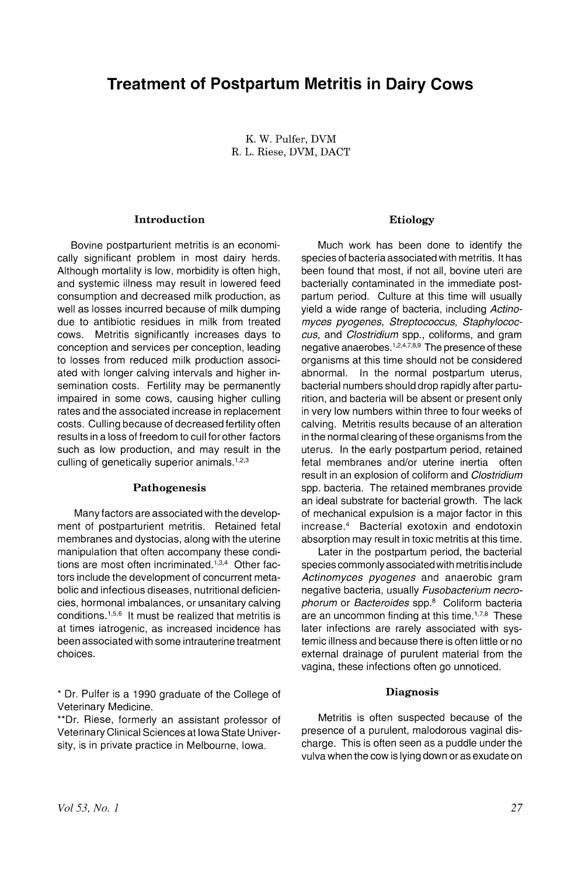# **Treatment of Postpartum Metritis in Dairy Cows**

K. W. Pulfer, DVM R. L. Riese, DVM, DACT

## Introduction

Bovine postparturient metritis is an economically significant problem in most dairy herds. Although mortality is low, morbidity is often high, and systemic illness may result in lowered feed consumption and decreased milk production, as well as losses incurred because of milk dumping due to antibiotic residues in milk from treated cows. Metritis significantly increases days to conception and services per conception, leading to losses from reduced milk production associated with longer calving intervals and higher insemination costs. Fertility may be permanently impaired in some cows, causing higher culling rates and the associated increase in replacement costs. Culling because of decreased fertility often results in a loss of freedom to cull for other factors such as low production, and may result in the culling of genetically superior animals.<sup>1,2,3</sup>

#### Pathogenesis

Many factors are associated with the development of postparturient metritis. Retained fetal membranes and dystocias, along with the uterine manipulation that often accompany these conditions are most often incriminated.<sup>1,3,4</sup> Other factors include the development of concurrent metabolic and infectious diseases, nutritional deficiencies, hormonal imbalances, or unsanitary calving conditions. 1,5,6 It must be realized that metritis is at times iatrogenic, as increased incidence has been associated with some intrauterine treatment choices.

\* Dr. Pulfer is a 1990 graduate of the College of Veterinary Medicine.

\*\*Dr. Riese, formerly an assistant professor of Veterinary Clinical Sciences at Iowa State University, is in private practice in Melbourne, Iowa.

#### Etiology

Much work has been done to identify the species of bacteria associated with metritis. It has been found that most, if not all, bovine uteri are bacterially contaminated in the immediate postpartum period. Culture at this time will usually yield a wide range of bacteria, including Actinomyces pyogenes, Streptococcus, Staphylococcus, and Clostridium spp., coliforms, and gram negative anaerobes. <sup>1</sup>,2,4,7,8,9 The presence of these organisms at this time should not be considered abnormal. In the normal postpartum uterus, bacterial numbers should drop rapidly after parturition, and bacteria will be absent or present only in very low numbers within three to four weeks of calving. Metritis results because of an alteration in the normal clearing of these organisms from the uterus. In the early postpartum period, retained fetal membranes and/or uterine inertia often result in an explosion of coliform and Clostridium spp. bacteria. The retained membranes provide an ideal substrate for bacterial growth. The lack of mechanical expulsion is a major factor in this increase.<sup>4</sup> Bacterial exotoxin and endotoxin absorption may result in toxic metritis at this time.

Later in the postpartum period, the bacterial species commonly associated with metritis include Actinomyces pyogenes and anaerobic gram negative bacteria, usually Fusobacterium necrophorum or Bacteroides spp.<sup>8</sup> Coliform bacteria are an uncommon finding at this time.<sup> $1,7,8$ </sup> These later infections are rarely associated with systemic illness and because there is often little or no external drainage of purulent material from the vagina, these infections often go unnoticed.

#### Diagnosis

Metritis is often suspected because of the presence of a purulent, malodorous vaginal discharge. This is often seen as a puddle under the vulva when the cow is lying down or as exudate on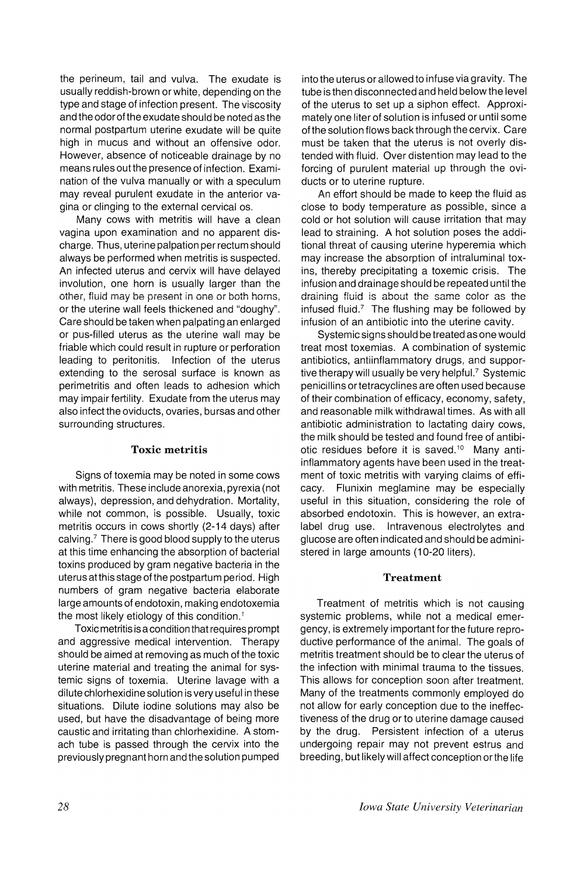the perineum, tail and vulva. The exudate is usually reddish-brown or white, depending on the type and stage of infection present. The viscosity and the odor of the exudate shouId be noted as the normal postpartum uterine exudate will be quite high in mucus and without an offensive odor. However, absence of noticeable drainage by no means rules out the presence of infection. Examination of the vulva manually or with a speculum may reveal purulent exudate in the anterior vagina or clinging to the external cervical os.

Many cows with metritis will have a clean vagina upon examination and no apparent discharge. Thus, uterine palpation per rectum should always be performed when metritis is suspected. An infected uterus and cervix will have delayed involution, one horn is usually larger than the other, fluid may be present in one or both horns, or the uterine wall feels thickened and "doughy". Care should be taken when palpating an enlarged or pus-filled uterus as the uterine wall may be friable which could result in rupture or perforation leading to peritonitis. Infection of the uterus extending to the serosal surface is known as perimetritis and often leads to adhesion which may impair fertility. Exudate from the uterus may also infect the oviducts, ovaries, bursas and other surrounding structures.

## Toxic metritis

Signs of toxemia may be noted in some cows with metritis. These include anorexia, pyrexia (not always), depression, and dehydration. Mortality, while not common, is possible. Usually, toxic metritis occurs in cows shortly (2-14 days) after calving.? There is good blood supply to the uterus at this time enhancing the absorption of bacterial toxins produced by gram negative bacteria in the uterus atthis stage of the postpartum period. High nurnbers of gram negative bacteria elaborate large amounts of endotoxin, making endotoxemia the most likely etiology of this condition.<sup>1</sup>

Toxic metritis is a condition that requires prompt and aggressive medical intervention. Therapy should be aimed at removing as much of the toxic uterine material and treating the animal for systemic signs of toxemia. Uterine lavage with a dilute chlorhexidine solution is very useful in these situations. Dilute iodine solutions may also be used, but have the disadvantage of being more caustic and irritating than chlorhexidine. A stomach tube is passed through the cervix into the previously pregnant horn and the solution pumped into the uterus or allowed to infuse via gravity. The tube is then disconnected and held below the level of the uterus to set up a siphon effect. Approximately one liter of solution is infused or until some of the solution flows back through the cervix. Care must be taken that the uterus is not overly distended with fluid. Over distention may lead to the forcing of purulent material up through the oviducts or to uterine rupture.

An effort should be made to keep the fluid as close to body temperature as possible, since a cold or hot solution will cause irritation that may lead to straining. A hot solution poses the additional threat of causing uterine hyperemia which may increase the absorption of intraluminal toxins, thereby precipitating a toxemic crisis. The infusion and drainage should be repeated until the draining fluid is about the same color as the infused fluid. $7$  The flushing may be followed by infusion of an antibiotic into the uterine cavity.

Systemic signs should be treated as one would treat most toxenlias. A combination of systemic antibiotics, antiinflarnmatory drugs, and supportive therapy will usually be very helpful. $<sup>7</sup>$  Systemic</sup> penicillins ortetracyclines are often used because of their combination of efficacy, economy, safety, and reasonable milk withdrawal times. As with all antibiotic administration to lactating dairy cows, the milk should be tested and found free of antibiotic residues before it is saved.<sup>10</sup> Many antiinflammatory agents have been used in the treatment of toxic metritis with varying claims of efficacy. Flunixin meglamine may be especially useful in this situation, considering the role of absorbed endotoxin. This is however, an extralabel drug use. Intravenous electrolytes and glucose are often indicated and should be administered in large amounts (10-20 liters).

#### Treatment

Treatment of metritis which is not causing systemic problems, while not a medical emergency, is extremely important for the future reproductive performance of the animal. The goals of metritis treatment should be to clear the uterus of the infection with minimal trauma to the tissues. This allows for conception soon after treatment. Many of the treatments commonly employed do not allow for early conception due to the ineffectiveness of the drug or to uterine damage caused by the drug. Persistent infection of a uterus undergoing repair may not prevent estrus and breeding, but likely will affect conception orthe life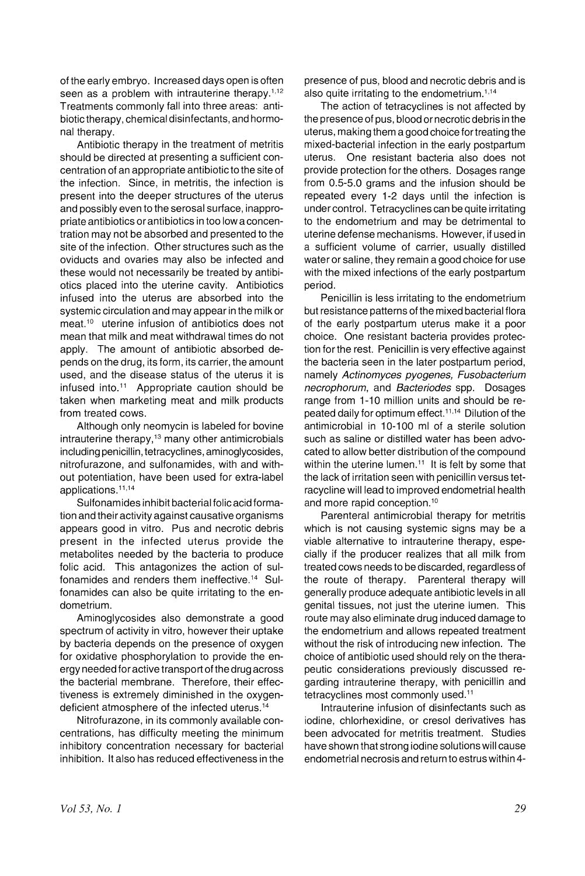of the early embryo. Increased days open is often seen as a problem with intrauterine therapy.<sup>1,12</sup> Treatments commonly fall into three areas: antibiotic therapy, chemical disinfectants, and hormonal therapy.

Antibiotic therapy in the treatment of metritis should be directed at presenting a sufficient concentration of an appropriate antibiotic to the site of the infection. Since, in metritis, the infection is present into the deeper structures of the uterus and possibly even to the serosal surface, inappropriate antibiotics or antibiotics in too Iowa concentration may not be absorbed and presented to the site of the infection. Other structures such as the oviducts and ovaries may also be infected and these would not necessarily be treated by antibiotics placed into the uterine cavity. Antibiotics infused into the uterus are absorbed into the systemic circulation and may appear in the milk or meat.<sup>10</sup> uterine infusion of antibiotics does not mean that milk and meat withdrawal times do not apply. The amount of antibiotic absorbed depends on the drug, its form, its carrier, the amount used, and the disease status of the uterus it is infused into.<sup>11</sup> Appropriate caution should be taken when marketing meat and milk products from treated cows.

Although only neomycin is labeled for bovine intrauterine therapy,<sup>13</sup> many other antimicrobials including penicillin, tetracyclines, aminoglycosides, nitrofurazone, and sulfonamides, with and without potentiation, have been used for extra-label applications.<sup>11,14</sup>

Sulfonamides inhibit bacterial folic acid formation and their activity against causative organisms appears good in vitro. Pus and necrotic debris present in the infected uterus provide the metabolites needed by the bacteria to produce folic acid. This antagonizes the action of sulfonamides and renders them ineffective.14 Sulfonamides can also be quite irritating to the endometrium.

Aminoglycosides also demonstrate a good spectrum of activity in vitro, however their uptake by bacteria depends on the presence of oxygen for oxidative phosphorylation to provide the energy needed for active transport of the drug across the bacterial membrane. Therefore, their effectiveness is extremely diminished in the oxygendeficient atmosphere of the infected uterus.14

Nitrofurazone, in its commonly available concentrations, has difficulty meeting the minimum inhibitory concentration necessary for bacterial inhibition. It also has reduced effectiveness in the presence of pus, blood and necrotic debris and is also quite irritating to the endometrium.<sup> $1,14$ </sup>

The action of tetracyclines is not affected by the presence of pus, blood or necrotic debris in the uterus, making them a good choice for treating the mixed-bacterial infection in the early postpartum uterus. One resistant bacteria also does not provide protection for the others. Dosages range from 0.5-5.0 grams and the infusion should be repeated every 1-2 days until the infection is under control. Tetracyclines can be quite irritating to the endometrium and may be detrimental to uterine defense mechanisms. However, if used in a sufficient volume of carrier, usually distilled water or saline, they remain a good choice for use with the mixed infections of the early postpartum period.

Penicillin is less irritating to the endometrium but resistance patterns of the mixed bacterial flora of the early postpartum uterus make it a poor choice. One resistant bacteria provides protection for the rest. Penicillin is very effective against the bacteria seen in the later postpartum period, namely Actinomyces pyogenes, Fusobacterium necrophorum, and Bacteriodes spp. Dosages range from 1-10 million units and should be repeated daily for optimum effect.<sup>11,14</sup> Dilution of the antimicrobial in 10-100 ml of a sterile solution such as saline or distilled water has been advocated to allow better distribution of the compound within the uterine lumen.<sup> $11$ </sup> It is felt by some that the lack of irritation seen with penicillin versus tetracycline will lead to improved endometrial health and more rapid conception.<sup>10</sup>

Parenteral antimicrobial therapy for metritis which is not causing systemic signs may be a viable alternative to intrauterine therapy, especially if the producer realizes that all milk from treated cows needs to be discarded, regardless of the route of therapy. Parenteral therapy will generally produce adequate antibiotic levels in all genital tissues, not just the uterine lumen. This route may also eliminate drug induced damage to the endometrium and allows repeated treatment without the risk of introducing new infection. The choice of antibiotic used should rely on the therapeutic considerations previously discussed regarding intrauterine therapy, with penjcillin and tetracyclines most commonly used.<sup>11</sup>

Intrauterine infusion of disinfectants such as iodine, chlorhexidine, or cresol derivatives has been advocated for metritis treatment. Studies have shown that strong iodine solutions will cause endometrial necrosis and return to estrus within 4-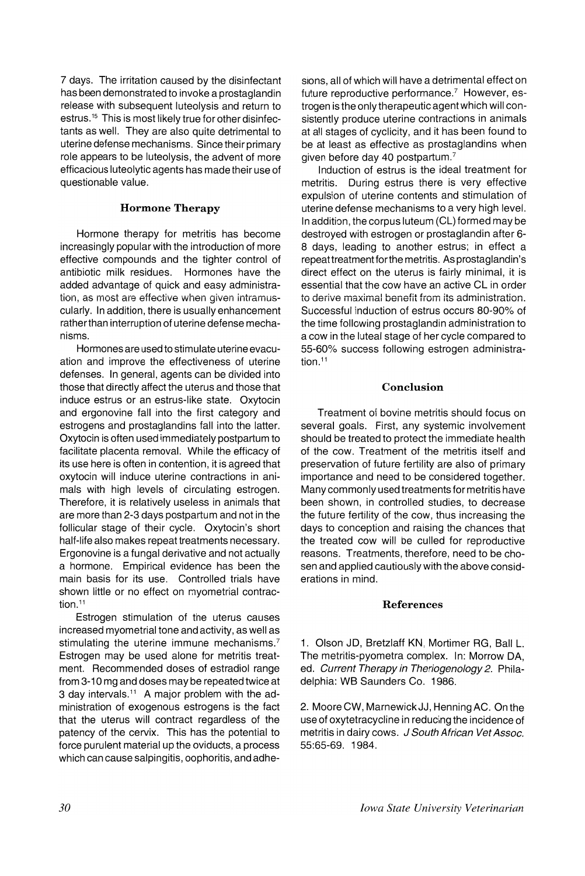7 days. The irritation caused by the disinfectant has been demonstrated to invoke a prostaglandin release with subsequent luteolysis and return to estrus.<sup>15</sup> This is most likely true for other disinfectants as well. They are also quite detrimental to uterine defense mechanisms. Since their primary role appears to be luteolysis, the advent of more efficacious luteolytic agents has made their use of questionable value.

## Hormone Therapy

Hormone therapy for metritis has become increasingly popular with the introduction of more effective compounds and the tighter control of antibiotic milk residues. Hormones have the added advantage of quick and easy administration, as most are effective when given intramuscularly. In addition, there is usually enhancement rather than interruption of uterine defense mechanisms.

Hormones are used to stimulate uterine evacuation and improve the effectiveness of uterine defenses. In general, agents can be divided into those that directly affect the uterus and those that induce estrus or an estrus-like state. Oxytocin and ergonovine fall into the first category and estrogens and prostaglandins fall into the latter. Oxytocin is often used immediately postpartum to facilitate placenta removal. While the efficacy of its use here is often in contention, it is agreed that oxytocin will induce uterine contractions in animals with high levels of circulating estrogen. Therefore, it is relatively useless in animals that are more than 2-3 days postpartum and not in the follicular stage of their cycle. Oxytocin's short half-life also makes repeat treatments necessary. Ergonovine is a fungal derivative and not actually a hormone. Empirical evidence has been the main basis for its use. Controlled trials have shown little or no effect on myometrial contraction.<sup>11</sup>

Estrogen stimulation of the uterus causes increased myometrial tone and activity, as well as stimulating the uterine immune mechanisms.<sup>7</sup> Estrogen may be used alone for metritis treatment. Recommended doses of estradiol range from 3-10 mg and doses may be repeated twice at 3 day intervals.<sup>11</sup> A major problem with the administration of exogenous estrogens is the fact that the uterus will contract regardless of the patency of the cervix. This has the potential to force purulent material up the oviducts, a process which can cause salpingitis, oophoritis, and adhe-

sions, all of which will have a detrimental effect on future reproductive performance.<sup>7</sup> However, estrogen is the only therapeutic agent which will consistently produce uterine contractions in animals at all stages of cyclicity, and it has been found to be at least as effective as prostaglandins when given before day 40 postpartum. $7$ 

Induction of estrus is the ideal treatment for metritis. During estrus there is very effective expulsion of uterine contents and stimulation of uterine defense mechanisms to a very high level. In addition, the corpus luteum (CL) formed may be destroyed with estrogen or prostaglandin after 6- 8 days, leading to another estrus; in effect a repeat treatment for the metritis. As prostaglandin's direct effect on the uterus is fairly minimal, it is essential that the cow have an active CL in order to derive maximal benefit from its administration. Successful induction of estrus occurs 80-90% of the time following prostaglandin administration to a cow in the luteal stage of her cycle compared to 55-60% success following estrogen administration.<sup>11</sup>

## Conclusion

Treatment of bovine metritis should focus on several goals. First, any systemic involvement should be treated to protect the immediate health of the cow. Treatment of the metritis itself and preservation of future fertility are also of primary importance and need to be considered together. Many commonly used treatments for metritis have been shown, in controlled studies, to decrease the future fertility of the cow, thus increasing the days to conception and raising the chances that the treated cow will be culled for reproductive reasons. Treatments, therefore, need to be chosen and applied cautiously with the above considerations in mind.

## References

1. Olson JD, Bretzlaff KN, Mortimer RG, Ball L. The metritis-pyometra complex. In: Morrow DA, ed. Current Therapy in Theriogenology 2. Philadelphia: WB Saunders Co. 1986.

2. MooreCW, MarnewickJJ, HenningAC. Onthe use of oxytetracycline in reducing the incidence of metritis in dairy cows. J South African Vet Assoc. 55:65-69. 1984.